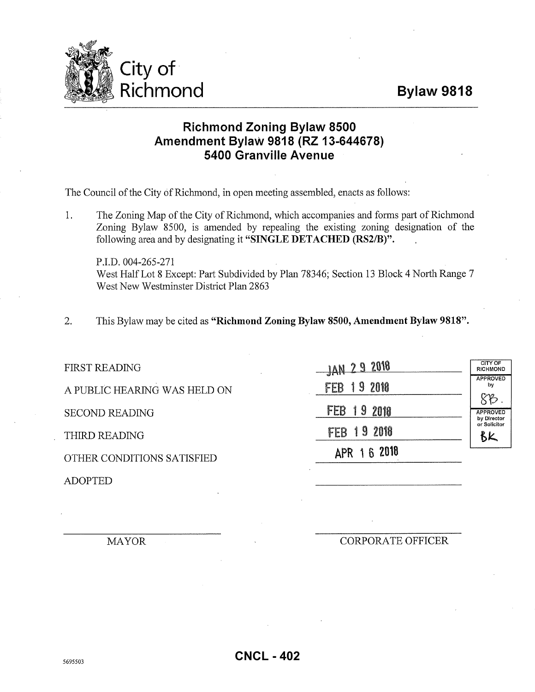## **Bylaw 9818**



## **Richmond Zoning Bylaw 8500 Amendment Bylaw 9818 (RZ 13-644678) 5400 Granville Avenue**

The Council of the City of Richmond, in open meeting assembled, enacts as follows:

1. The Zoning Map of the City of Richmond, which accompanies and forms part of Richmond Zoning Bylaw 8500, is amended by repealing the existing zoning designation of the following area and by designating it **"SINGLE DETACHED (RS2/B)".** 

P.I.D. 004-265-271 West Half Lot 8 Except: Part Subdivided by Plan 78346; Section 13 Block 4 North Range 7 West New Westminster District Plan 2863

2. This Bylaw may be cited as **"Richmond Zoning Bylaw 8500, Amendment Bylaw 9818".** 

| <b>FIRST READING</b>         | JAN 29 2018     | CITY OF<br><b>RICHMOND</b>                                                 |
|------------------------------|-----------------|----------------------------------------------------------------------------|
| A PUBLIC HEARING WAS HELD ON | 19 2010<br>FEB  | <b>APPROVED</b><br>by<br>88 <sub>o</sub><br><b>APPROVED</b><br>by Director |
| <b>SECOND READING</b>        | FEB<br>  9 2018 |                                                                            |
| THIRD READING                | 19 2018<br>FEB  | or Solicitor<br>BK                                                         |
| OTHER CONDITIONS SATISFIED   | APR 1 6 2018    |                                                                            |
| <b>ADOPTED</b>               |                 |                                                                            |

MAYOR

CORPORATE OFFICER